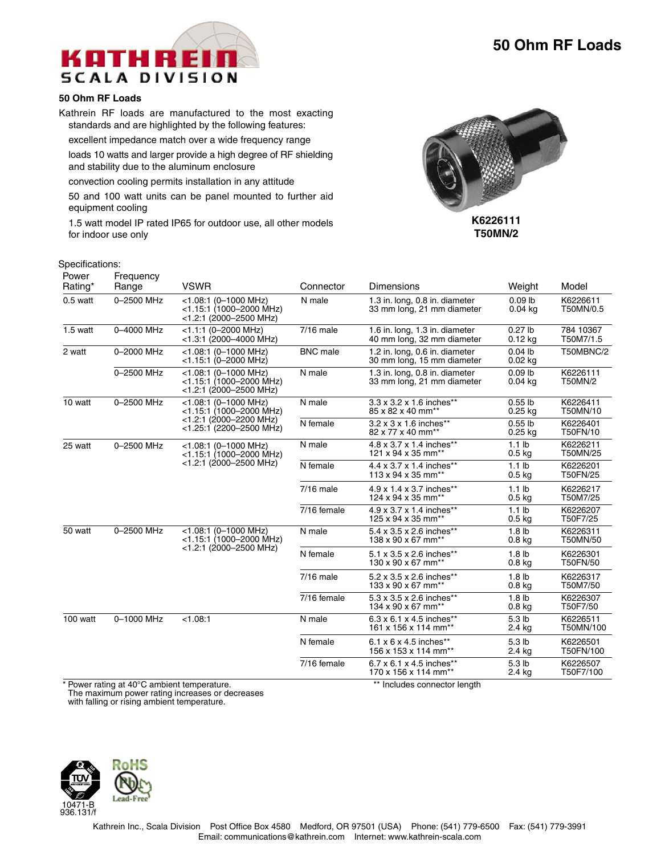

## **50 Ohm RF Loads**

Kathrein RF loads are manufactured to the most exacting standards and are highlighted by the following features:

excellent impedance match over a wide frequency range loads 10 watts and larger provide a high degree of RF shielding and stability due to the aluminum enclosure

convection cooling permits installation in any attitude

50 and 100 watt units can be panel mounted to further aid equipment cooling

1.5 watt model IP rated IP65 for outdoor use, all other models for indoor use only



**T50MN/2**

## Specifications:

| Power<br>Rating* | Frequency<br>Range | <b>VSWR</b>                                                                                                | Connector       | Dimensions                                                             | Weight                                 | Model                  |
|------------------|--------------------|------------------------------------------------------------------------------------------------------------|-----------------|------------------------------------------------------------------------|----------------------------------------|------------------------|
| $0.5$ watt       | 0-2500 MHz         | $<$ 1.08:1 (0-1000 MHz)<br>$<$ 1.15:1 (1000-2000 MHz)<br>$<$ 1.2:1 (2000-2500 MHz)                         | N male          | 1.3 in. long, 0.8 in. diameter<br>33 mm long, 21 mm diameter           | $0.09$ lb<br>$0.04$ kg                 | K6226611<br>T50MN/0.5  |
| $1.5$ watt       | 0-4000 MHz         | $<$ 1.1:1 (0-2000 MHz)<br>$<$ 1.3:1 (2000-4000 MHz)                                                        | $7/16$ male     | 1.6 in. long, 1.3 in. diameter<br>40 mm long, 32 mm diameter           | $0.27$ lb<br>$0.12$ kg                 | 784 10367<br>T50M7/1.5 |
| 2 watt           | 0-2000 MHz         | $<$ 1.08:1 (0-1000 MHz)<br>$<$ 1.15:1 (0-2000 MHz)                                                         | <b>BNC</b> male | 1.2 in. long, 0.6 in. diameter<br>30 mm long, 15 mm diameter           | $0.04$ lb<br>$0.02$ kg                 | T50MBNC/2              |
|                  | 0-2500 MHz         | $<$ 1.08:1 (0-1000 MHz)<br>$<$ 1.15:1 (1000-2000 MHz)<br>$<$ 1.2:1 (2000-2500 MHz)                         | N male          | 1.3 in. long, 0.8 in. diameter<br>33 mm long, 21 mm diameter           | $0.09$ lb<br>$0.04$ kg                 | K6226111<br>T50MN/2    |
| 10 watt          | 0-2500 MHz         | $<$ 1.08:1 (0-1000 MHz)<br><1.15:1 (1000-2000 MHz)<br>$<$ 1.2:1 (2000–2200 MHz)<br><1.25:1 (2200-2500 MHz) | N male          | 3.3 x 3.2 x 1.6 inches**<br>85 x 82 x 40 mm**                          | $0.55$ lb<br>$0.25$ kg                 | K6226411<br>T50MN/10   |
|                  |                    |                                                                                                            | N female        | 3.2 x 3 x 1.6 inches**<br>82 x 77 x 40 mm <sup>**</sup>                | $0.55$ lb<br>$0.25$ kg                 | K6226401<br>T50FN/10   |
| 25 watt          | 0-2500 MHz         | $<$ 1.08:1 (0-1000 MHz)<br>$<$ 1.15:1 (1000-2000 MHz)<br>$<$ 1.2:1 (2000–2500 MHz)                         | N male          | 4.8 x 3.7 x 1.4 inches**<br>121 x 94 x 35 mm**                         | 1.1 <sub>lb</sub><br>0.5 <sub>kq</sub> | K6226211<br>T50MN/25   |
|                  |                    |                                                                                                            | N female        | 4.4 x 3.7 x 1.4 inches**<br>$113 \times 94 \times 35$ mm <sup>**</sup> | 1.1 <sub>lb</sub><br>0.5 <sub>kq</sub> | K6226201<br>T50FN/25   |
|                  |                    |                                                                                                            | $7/16$ male     | 4.9 x 1.4 x 3.7 inches**<br>124 x 94 x 35 mm**                         | 1.1 <sub>lb</sub><br>$0.5$ kg          | K6226217<br>T50M7/25   |
|                  |                    |                                                                                                            | 7/16 female     | 4.9 x 3.7 x 1.4 inches**<br>125 x 94 x 35 mm**                         | 1.1 <sub>lb</sub><br>$0.5$ kg          | K6226207<br>T50F7/25   |
| 50 watt          | 0-2500 MHz         | $<$ 1.08:1 (0-1000 MHz)<br>$<$ 1.15:1 (1000-2000 MHz)<br>$<$ 1.2:1 (2000-2500 MHz)                         | N male          | 5.4 x 3.5 x 2.6 inches**<br>138 x 90 x 67 mm <sup>**</sup>             | 1.8 <sub>lb</sub><br>0.8 <sub>kq</sub> | K6226311<br>T50MN/50   |
|                  |                    |                                                                                                            | N female        | 5.1 x 3.5 x 2.6 inches**<br>130 x 90 x 67 mm <sup>**</sup>             | 1.8 <sub>lb</sub><br>0.8 <sub>kg</sub> | K6226301<br>T50FN/50   |
|                  |                    |                                                                                                            | $7/16$ male     | 5.2 x 3.5 x 2.6 inches**<br>133 x 90 x 67 mm <sup>**</sup>             | 1.8 <sub>lb</sub><br>$0.8$ kg          | K6226317<br>T50M7/50   |
|                  |                    |                                                                                                            | 7/16 female     | 5.3 x 3.5 x 2.6 inches**<br>134 x 90 x 67 mm <sup>**</sup>             | 1.8 <sub>lb</sub><br>$0.8$ kg          | K6226307<br>T50F7/50   |
| 100 watt         | 0-1000 MHz         | < 1.08:1                                                                                                   | N male          | 6.3 x 6.1 x 4.5 inches**<br>161 x 156 x 114 mm**                       | 5.3 <sub>lb</sub><br>2.4 kg            | K6226511<br>T50MN/100  |
|                  |                    |                                                                                                            | N female        | $6.1 \times 6 \times 4.5$ inches**<br>156 x 153 x 114 mm**             | 5.3 <sub>lb</sub><br>2.4 kg            | K6226501<br>T50FN/100  |
|                  |                    |                                                                                                            | 7/16 female     | 6.7 x 6.1 x 4.5 inches**<br>170 x 156 x 114 mm**                       | 5.3 <sub>lb</sub><br>2.4 kg            | K6226507<br>T50F7/100  |

\* Power rating at 40°C ambient temperature. \*\* Includes connector length

The maximum power rating increases or decreases

with falling or rising ambient temperature.